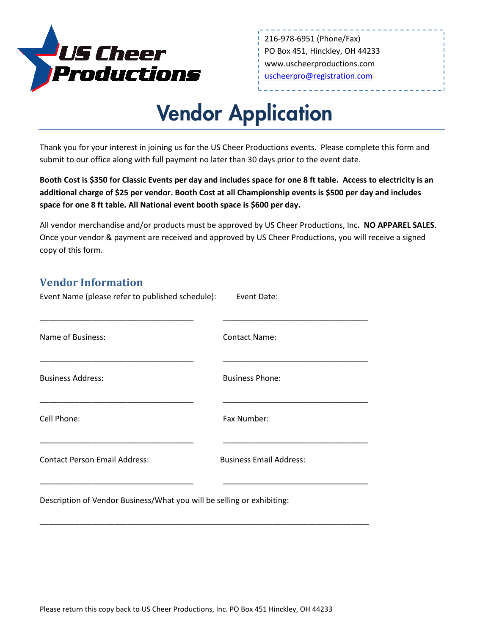

216-978-6951 (Phone/Fax) PO Box 451, Hinckley, OH 44233 www.uscheerproductions.com [uscheerpro@registration.com](mailto:uscheerpro@registration.com)

## Vendor Application

Thank you for your interest in joining us for the US Cheer Productions events. Please complete this form and submit to our office along with full payment no later than 30 days prior to the event date.

**Booth Cost is \$350 for Classic Events per day and includes space for one 8 ft table. Access to electricity is an additional charge of \$25 per vendor. Booth Cost at all Championship events is \$500 per day and includes space for one 8 ft table. All National event booth space is \$600 per day.** 

All vendor merchandise and/or products must be approved by US Cheer Productions, Inc**. NO APPAREL SALES**. Once your vendor & payment are received and approved by US Cheer Productions, you will receive a signed copy of this form.

## **Vendor Information**

| Event Name (please refer to published schedule): | Event Date:                    |
|--------------------------------------------------|--------------------------------|
| Name of Business:                                | <b>Contact Name:</b>           |
| <b>Business Address:</b>                         | <b>Business Phone:</b>         |
| Cell Phone:                                      | Fax Number:                    |
| <b>Contact Person Email Address:</b>             | <b>Business Email Address:</b> |
|                                                  |                                |

\_\_\_\_\_\_\_\_\_\_\_\_\_\_\_\_\_\_\_\_\_\_\_\_\_\_\_\_\_\_\_\_\_\_\_\_\_\_\_\_\_\_\_\_\_\_\_\_\_\_\_\_\_\_\_\_\_\_\_\_\_\_\_\_\_\_\_\_\_\_\_\_\_\_\_

Description of Vendor Business/What you will be selling or exhibiting: